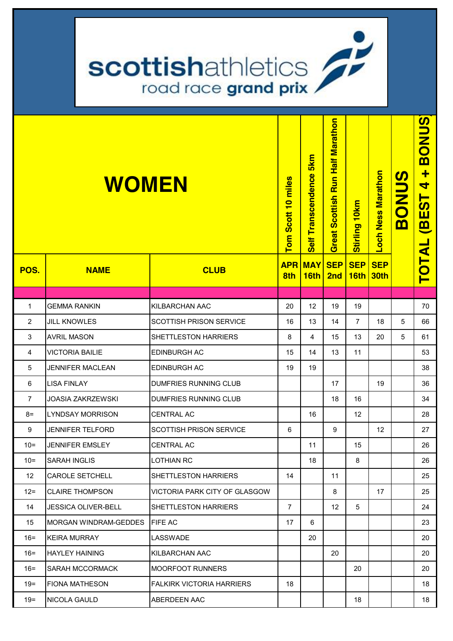| scottishathletics<br>road race grand prix / |                              |                                  |                    |                        |                                  |                    |                    |              |                                               |
|---------------------------------------------|------------------------------|----------------------------------|--------------------|------------------------|----------------------------------|--------------------|--------------------|--------------|-----------------------------------------------|
|                                             | <b>WOMEN</b>                 |                                  | Tom Scott 10 miles | Self Transcendence 5km | Great Scottish Run Half Marathon | Stirling 10km      | Loch Ness Marathon | <b>BONUS</b> | <b>BONUS</b><br>$\ddot{}$<br>4<br><b>BEST</b> |
| POS.                                        | <b>NAME</b>                  | <b>CLUB</b>                      | <b>APR</b><br>8th  | <b>MAY</b><br>16th     | <b>SEP</b><br>2nd                | <b>SEP</b><br>16th | <b>SEP</b><br>30th |              | <b>TOTAL</b>                                  |
|                                             |                              |                                  |                    |                        |                                  |                    |                    |              |                                               |
| 1                                           | <b>GEMMA RANKIN</b>          | KILBARCHAN AAC                   | 20                 | 12                     | 19                               | 19                 |                    |              | 70                                            |
| $\overline{2}$                              | <b>JILL KNOWLES</b>          | <b>SCOTTISH PRISON SERVICE</b>   | 16                 | 13                     | 14                               | 7                  | 18                 | 5            | 66                                            |
| 3                                           | <b>AVRIL MASON</b>           | <b>SHETTLESTON HARRIERS</b>      | 8                  | 4                      | 15                               | 13                 | 20                 | 5            | 61                                            |
| 4                                           | <b>VICTORIA BAILIE</b>       | <b>EDINBURGH AC</b>              | 15                 | 14                     | 13                               | 11                 |                    |              | 53                                            |
| 5                                           | <b>JENNIFER MACLEAN</b>      | <b>EDINBURGH AC</b>              | 19                 | 19                     |                                  |                    |                    |              | 38                                            |
| 6                                           | <b>LISA FINLAY</b>           | DUMFRIES RUNNING CLUB            |                    |                        | 17                               |                    | 19                 |              | 36                                            |
| $\overline{7}$                              | <b>JOASIA ZAKRZEWSKI</b>     | DUMFRIES RUNNING CLUB            |                    |                        | 18                               | 16                 |                    |              | 34                                            |
| 8=                                          | <b>LYNDSAY MORRISON</b>      | <b>CENTRAL AC</b>                |                    | 16                     |                                  | 12                 |                    |              | 28                                            |
| 9                                           | <b>JENNIFER TELFORD</b>      | <b>SCOTTISH PRISON SERVICE</b>   | 6                  |                        | 9                                |                    | 12                 |              | 27                                            |
| $10 =$                                      | <b>JENNIFER EMSLEY</b>       | <b>CENTRAL AC</b>                |                    | 11                     |                                  | 15                 |                    |              | 26                                            |
| $10 =$                                      | <b>SARAH INGLIS</b>          | <b>LOTHIAN RC</b>                |                    | 18                     |                                  | 8                  |                    |              | 26                                            |
| $12 \overline{ }$                           | <b>CAROLE SETCHELL</b>       | SHETTLESTON HARRIERS             | 14                 |                        | 11                               |                    |                    |              | 25                                            |
| $12 =$                                      | <b>CLAIRE THOMPSON</b>       | VICTORIA PARK CITY OF GLASGOW    |                    |                        | 8                                |                    | 17                 |              | 25                                            |
| 14                                          | <b>JESSICA OLIVER-BELL</b>   | <b>SHETTLESTON HARRIERS</b>      | $\overline{7}$     |                        | 12                               | 5                  |                    |              | 24                                            |
| 15                                          | <b>MORGAN WINDRAM-GEDDES</b> | <b>FIFE AC</b>                   | 17                 | 6                      |                                  |                    |                    |              | 23                                            |
| $16 =$                                      | <b>KEIRA MURRAY</b>          | LASSWADE                         |                    | 20                     |                                  |                    |                    |              | 20                                            |
| $16 =$                                      | <b>HAYLEY HAINING</b>        | KILBARCHAN AAC                   |                    |                        | 20                               |                    |                    |              | 20                                            |
| $16 =$                                      | SARAH MCCORMACK              | <b>MOORFOOT RUNNERS</b>          |                    |                        |                                  | 20                 |                    |              | 20                                            |
| $19 =$                                      | <b>FIONA MATHESON</b>        | <b>FALKIRK VICTORIA HARRIERS</b> | 18                 |                        |                                  |                    |                    |              | 18                                            |
| $19 =$                                      | NICOLA GAULD                 | ABERDEEN AAC                     |                    |                        |                                  | 18                 |                    |              | 18                                            |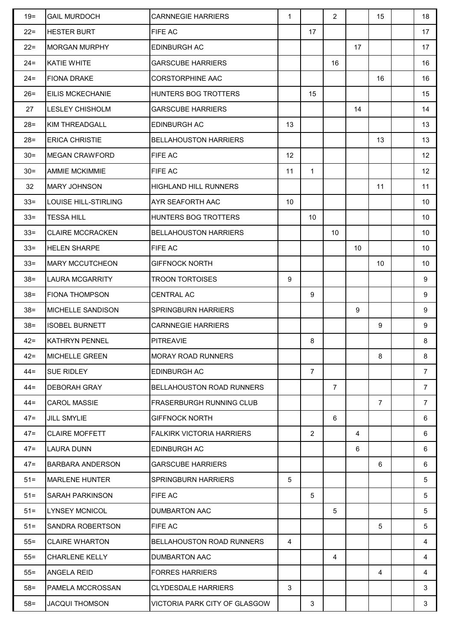| $19 =$ | <b>GAIL MURDOCH</b>     | <b>CARNNEGIE HARRIERS</b>        | $\mathbf{1}$ |                | $\overline{2}$ |    | 15             | 18                |
|--------|-------------------------|----------------------------------|--------------|----------------|----------------|----|----------------|-------------------|
| $22 =$ | <b>HESTER BURT</b>      | FIFE AC                          |              | 17             |                |    |                | 17                |
| $22 =$ | <b>MORGAN MURPHY</b>    | <b>EDINBURGH AC</b>              |              |                |                | 17 |                | 17                |
| $24 =$ | KATIE WHITE             | <b>GARSCUBE HARRIERS</b>         |              |                | 16             |    |                | 16                |
| $24 =$ | <b>FIONA DRAKE</b>      | <b>CORSTORPHINE AAC</b>          |              |                |                |    | 16             | 16                |
| $26 =$ | <b>EILIS MCKECHANIE</b> | HUNTERS BOG TROTTERS             |              | 15             |                |    |                | 15                |
| 27     | <b>LESLEY CHISHOLM</b>  | <b>GARSCUBE HARRIERS</b>         |              |                |                | 14 |                | 14                |
| $28 =$ | KIM THREADGALL          | <b>EDINBURGH AC</b>              | 13           |                |                |    |                | 13                |
| $28 =$ | <b>ERICA CHRISTIE</b>   | <b>BELLAHOUSTON HARRIERS</b>     |              |                |                |    | 13             | 13                |
| $30 =$ | <b>MEGAN CRAWFORD</b>   | FIFE AC                          | 12           |                |                |    |                | $12 \overline{ }$ |
| $30 =$ | AMMIE MCKIMMIE          | FIFE AC                          | 11           | $\mathbf{1}$   |                |    |                | $12 \overline{ }$ |
| 32     | <b>MARY JOHNSON</b>     | <b>HIGHLAND HILL RUNNERS</b>     |              |                |                |    | 11             | 11                |
| $33 =$ | LOUISE HILL-STIRLING    | AYR SEAFORTH AAC                 | 10           |                |                |    |                | 10 <sup>°</sup>   |
| $33 =$ | <b>TESSA HILL</b>       | HUNTERS BOG TROTTERS             |              | 10             |                |    |                | 10 <sup>°</sup>   |
| $33 =$ | <b>CLAIRE MCCRACKEN</b> | <b>BELLAHOUSTON HARRIERS</b>     |              |                | 10             |    |                | 10                |
| $33 =$ | <b>HELEN SHARPE</b>     | FIFE AC                          |              |                |                | 10 |                | 10                |
| $33 =$ | <b>MARY MCCUTCHEON</b>  | <b>GIFFNOCK NORTH</b>            |              |                |                |    | 10             | 10 <sup>°</sup>   |
| $38 =$ | <b>LAURA MCGARRITY</b>  | <b>TROON TORTOISES</b>           | 9            |                |                |    |                | 9                 |
| $38 =$ | <b>FIONA THOMPSON</b>   | <b>CENTRAL AC</b>                |              | 9              |                |    |                | 9                 |
| $38 =$ | MICHELLE SANDISON       | <b>SPRINGBURN HARRIERS</b>       |              |                |                | 9  |                | 9                 |
| $38 =$ | <b>ISOBEL BURNETT</b>   | <b>CARNNEGIE HARRIERS</b>        |              |                |                |    | 9              | 9                 |
| $42 =$ | <b>KATHRYN PENNEL</b>   | <b>PITREAVIE</b>                 |              | 8              |                |    |                | 8                 |
| $42 =$ | <b>MICHELLE GREEN</b>   | <b>MORAY ROAD RUNNERS</b>        |              |                |                |    | 8              | 8                 |
| $44 =$ | <b>SUE RIDLEY</b>       | <b>EDINBURGH AC</b>              |              | $\overline{7}$ |                |    |                | $7^{\circ}$       |
| $44 =$ | <b>DEBORAH GRAY</b>     | <b>BELLAHOUSTON ROAD RUNNERS</b> |              |                | $\overline{7}$ |    |                | $\overline{7}$    |
| $44 =$ | <b>CAROL MASSIE</b>     | FRASERBURGH RUNNING CLUB         |              |                |                |    | $\overline{7}$ | $\overline{7}$    |
| $47 =$ | <b>JILL SMYLIE</b>      | <b>GIFFNOCK NORTH</b>            |              |                | 6              |    |                | 6                 |
| $47 =$ | <b>CLAIRE MOFFETT</b>   | <b>FALKIRK VICTORIA HARRIERS</b> |              | $\overline{2}$ |                | 4  |                | 6                 |
| $47 =$ | LAURA DUNN              | <b>EDINBURGH AC</b>              |              |                |                | 6  |                | 6                 |
| $47 =$ | <b>BARBARA ANDERSON</b> | <b>GARSCUBE HARRIERS</b>         |              |                |                |    | 6              | 6                 |
| $51 =$ | <b>MARLENE HUNTER</b>   | SPRINGBURN HARRIERS              | 5            |                |                |    |                | 5                 |
| $51 =$ | <b>SARAH PARKINSON</b>  | FIFE AC                          |              | 5              |                |    |                | 5                 |
| $51 =$ | <b>LYNSEY MCNICOL</b>   | <b>DUMBARTON AAC</b>             |              |                | 5              |    |                | 5                 |
| $51 =$ | SANDRA ROBERTSON        | FIFE AC                          |              |                |                |    | 5              | 5                 |
| $55 =$ | <b>CLAIRE WHARTON</b>   | <b>BELLAHOUSTON ROAD RUNNERS</b> | 4            |                |                |    |                | 4                 |
| $55 =$ | <b>CHARLENE KELLY</b>   | DUMBARTON AAC                    |              |                | $\overline{4}$ |    |                | 4                 |
| $55 =$ | <b>ANGELA REID</b>      | <b>FORRES HARRIERS</b>           |              |                |                |    | 4              | 4                 |
| $58 =$ | PAMELA MCCROSSAN        | <b>CLYDESDALE HARRIERS</b>       | 3            |                |                |    |                | 3                 |
| $58 =$ | <b>JACQUI THOMSON</b>   | VICTORIA PARK CITY OF GLASGOW    |              | 3              |                |    |                | 3                 |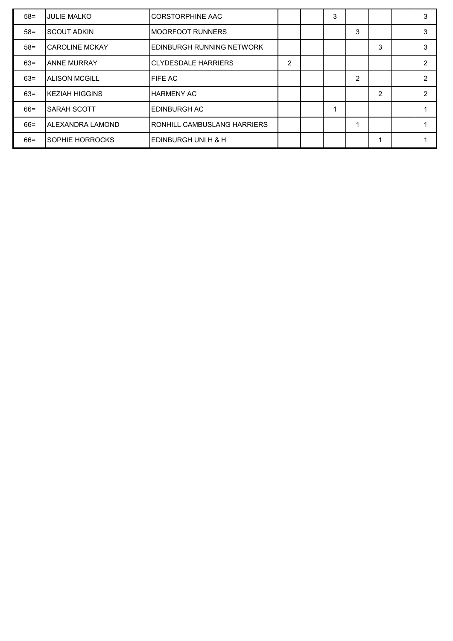| $58 =$ | <b>IJULIE MALKO</b>     | CORSTORPHINE AAC                 |                | 3 |                |                | 3 |
|--------|-------------------------|----------------------------------|----------------|---|----------------|----------------|---|
| $58 =$ | ISCOUT ADKIN            | <b>IMOORFOOT RUNNERS</b>         |                |   | 3              |                | 3 |
| $58 =$ | <b>I</b> CAROLINE MCKAY | <b>EDINBURGH RUNNING NETWORK</b> |                |   |                | 3              | 3 |
| $63 =$ | <b>JANNE MURRAY</b>     | ICLYDESDALE HARRIERS             | $\overline{2}$ |   |                |                | 2 |
| $63=$  | <b>IALISON MCGILL</b>   | <b>FIFE AC</b>                   |                |   | $\overline{2}$ |                | 2 |
| $63 =$ | <b>IKEZIAH HIGGINS</b>  | <b>HARMENY AC</b>                |                |   |                | $\overline{2}$ | 2 |
| $66 =$ | ISARAH SCOTT            | <b>IEDINBURGH AC</b>             |                |   |                |                |   |
| $66 =$ | IALEXANDRA LAMOND       | RONHILL CAMBUSLANG HARRIERS      |                |   |                |                |   |
| 66=    | ISOPHIE HORROCKS        | IEDINBURGH UNI H & H             |                |   |                |                |   |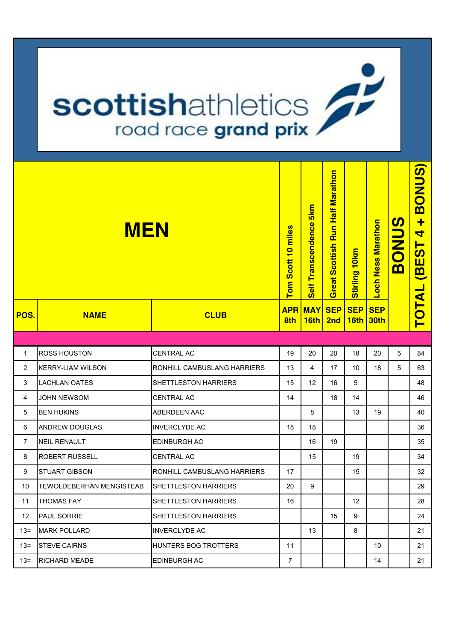## **scottishathletics**

| <b>MEN</b>     |                          |                             | Scott 10 miles<br>Tom | 5km<br><b>Transcendence</b><br><b>Self</b> | <b>Half Marathon</b><br>Run <sup>1</sup><br>Scottish<br>Great | 10 <sub>km</sub><br><b>Stirling</b> | <b>Ness Marathon</b><br>Loch | <u>ທ</u><br><b>BONU</b> | BONUS)<br>$\ddot{}$<br>4<br><b>BEST</b> |
|----------------|--------------------------|-----------------------------|-----------------------|--------------------------------------------|---------------------------------------------------------------|-------------------------------------|------------------------------|-------------------------|-----------------------------------------|
| POS.           | <b>NAME</b>              | <b>CLUB</b>                 | <b>APR</b><br>8th     | <b>MAY</b><br>16th                         | <b>SEP</b><br>2nd                                             | <b>SEP</b><br> 16th                 | <b>SEP</b><br><b>30th</b>    |                         | <b>TOTAL</b>                            |
|                |                          |                             |                       |                                            |                                                               |                                     |                              |                         |                                         |
| $\mathbf{1}$   | <b>ROSS HOUSTON</b>      | <b>CENTRAL AC</b>           | 19                    | 20                                         | 20                                                            | 18                                  | 20                           | 5                       | 84                                      |
| $\overline{2}$ | <b>KERRY-LIAM WILSON</b> | RONHILL CAMBUSLANG HARRIERS | 13                    | 4                                          | 17                                                            | 10                                  | 18                           | 5                       | 63                                      |
| 3              | <b>LACHLAN OATES</b>     | SHETTLESTON HARRIERS        | 15                    | 12                                         | 16                                                            | 5                                   |                              |                         | 48                                      |
| 4              | JOHN NEWSOM              | <b>CENTRAL AC</b>           | 14                    |                                            | 18                                                            | 14                                  |                              |                         | 46                                      |
| 5              | <b>BEN HUKINS</b>        | ABERDEEN AAC                |                       | 8                                          |                                                               | 13                                  | 19                           |                         | 40                                      |
| 6              | <b>ANDREW DOUGLAS</b>    | <b>INVERCLYDE AC</b>        | 18                    | 18                                         |                                                               |                                     |                              |                         | 36                                      |
| $\overline{7}$ | <b>NEIL RENAULT</b>      | EDINBURGH AC                |                       | 16                                         | 19                                                            |                                     |                              |                         | 35                                      |
| 8              | <b>ROBERT RUSSELL</b>    | <b>CENTRAL AC</b>           |                       | 15                                         |                                                               | 19                                  |                              |                         | 34                                      |
| 9              | <b>STUART GIBSON</b>     | RONHILL CAMBUSLANG HARRIERS | 17                    |                                            |                                                               | 15                                  |                              |                         | 32                                      |
| 10             | TEWOLDEBERHAN MENGISTEAB | SHETTLESTON HARRIERS        | 20                    | 9                                          |                                                               |                                     |                              |                         | 29                                      |
| 11             | <b>THOMAS FAY</b>        | SHETTLESTON HARRIERS        | 16                    |                                            |                                                               | 12                                  |                              |                         | 28                                      |
| 12             | PAUL SORRIE              | SHETTLESTON HARRIERS        |                       |                                            | 15                                                            | 9                                   |                              |                         | 24                                      |
| $13 =$         | <b>MARK POLLARD</b>      | <b>INVERCLYDE AC</b>        |                       | 13                                         |                                                               | 8                                   |                              |                         | 21                                      |
| $13 =$         | <b>STEVE CAIRNS</b>      | HUNTERS BOG TROTTERS        | 11                    |                                            |                                                               |                                     | 10                           |                         | 21                                      |
| $13 =$         | RICHARD MEADE            | EDINBURGH AC                | $\overline{7}$        |                                            |                                                               |                                     | 14                           |                         | 21                                      |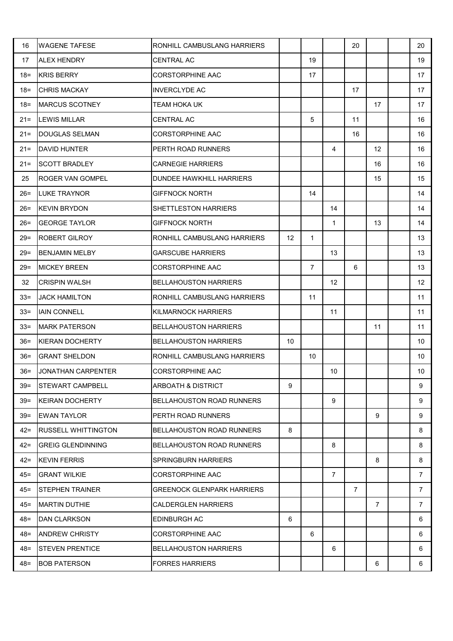| 16     | <b>WAGENE TAFESE</b>       | RONHILL CAMBUSLANG HARRIERS       |    |                |                | 20             |                | 20              |
|--------|----------------------------|-----------------------------------|----|----------------|----------------|----------------|----------------|-----------------|
| 17     | <b>ALEX HENDRY</b>         | <b>CENTRAL AC</b>                 |    | 19             |                |                |                | 19              |
| $18 =$ | <b>KRIS BERRY</b>          | <b>CORSTORPHINE AAC</b>           |    | 17             |                |                |                | 17              |
| $18 =$ | <b>CHRIS MACKAY</b>        | <b>INVERCLYDE AC</b>              |    |                |                | 17             |                | 17              |
| $18 =$ | <b>MARCUS SCOTNEY</b>      | <b>TEAM HOKA UK</b>               |    |                |                |                | 17             | 17              |
| $21 =$ | <b>LEWIS MILLAR</b>        | <b>CENTRAL AC</b>                 |    | 5              |                | 11             |                | 16              |
| $21 =$ | <b>DOUGLAS SELMAN</b>      | <b>CORSTORPHINE AAC</b>           |    |                |                | 16             |                | 16              |
| $21 =$ | <b>DAVID HUNTER</b>        | PERTH ROAD RUNNERS                |    |                | 4              |                | 12             | 16              |
| $21 =$ | <b>SCOTT BRADLEY</b>       | <b>CARNEGIE HARRIERS</b>          |    |                |                |                | 16             | 16              |
| 25     | <b>ROGER VAN GOMPEL</b>    | DUNDEE HAWKHILL HARRIERS          |    |                |                |                | 15             | 15              |
| $26 =$ | <b>LUKE TRAYNOR</b>        | <b>GIFFNOCK NORTH</b>             |    | 14             |                |                |                | 14              |
| 26=    | <b>KEVIN BRYDON</b>        | SHETTLESTON HARRIERS              |    |                | 14             |                |                | 14              |
| $26 =$ | <b>GEORGE TAYLOR</b>       | <b>GIFFNOCK NORTH</b>             |    |                | $\mathbf{1}$   |                | 13             | 14              |
| $29 =$ | <b>ROBERT GILROY</b>       | RONHILL CAMBUSLANG HARRIERS       | 12 | $\mathbf{1}$   |                |                |                | 13              |
| 29=    | <b>BENJAMIN MELBY</b>      | <b>GARSCUBE HARRIERS</b>          |    |                | 13             |                |                | 13              |
| $29 =$ | <b>MICKEY BREEN</b>        | <b>CORSTORPHINE AAC</b>           |    | $\overline{7}$ |                | 6              |                | 13              |
| 32     | <b>CRISPIN WALSH</b>       | <b>BELLAHOUSTON HARRIERS</b>      |    |                | 12             |                |                | 12              |
| $33 =$ | <b>JACK HAMILTON</b>       | RONHILL CAMBUSLANG HARRIERS       |    | 11             |                |                |                | 11              |
| $33 =$ | <b>IAIN CONNELL</b>        | KILMARNOCK HARRIERS               |    |                | 11             |                |                | 11              |
| $33 =$ | <b>MARK PATERSON</b>       | <b>BELLAHOUSTON HARRIERS</b>      |    |                |                |                | 11             | 11              |
| $36 =$ | <b>KIERAN DOCHERTY</b>     | <b>BELLAHOUSTON HARRIERS</b>      | 10 |                |                |                |                | 10              |
| $36 =$ | <b>GRANT SHELDON</b>       | RONHILL CAMBUSLANG HARRIERS       |    | 10             |                |                |                | 10 <sup>1</sup> |
| $36 =$ | JONATHAN CARPENTER         | <b>CORSTORPHINE AAC</b>           |    |                | 10             |                |                | 10 <sup>°</sup> |
| $39 =$ | <b>STEWART CAMPBELL</b>    | <b>ARBOATH &amp; DISTRICT</b>     | 9  |                |                |                |                | 9               |
| $39 =$ | <b>KEIRAN DOCHERTY</b>     | <b>BELLAHOUSTON ROAD RUNNERS</b>  |    |                | 9              |                |                | 9               |
| $39 =$ | <b>EWAN TAYLOR</b>         | PERTH ROAD RUNNERS                |    |                |                |                | 9              | 9               |
| $42 =$ | <b>RUSSELL WHITTINGTON</b> | <b>BELLAHOUSTON ROAD RUNNERS</b>  | 8  |                |                |                |                | 8               |
| $42 =$ | <b>GREIG GLENDINNING</b>   | <b>BELLAHOUSTON ROAD RUNNERS</b>  |    |                | 8              |                |                | 8               |
| $42 =$ | <b>KEVIN FERRIS</b>        | <b>SPRINGBURN HARRIERS</b>        |    |                |                |                | 8              | 8               |
| $45 =$ | <b>GRANT WILKIE</b>        | <b>CORSTORPHINE AAC</b>           |    |                | $\overline{7}$ |                |                | $\overline{7}$  |
| $45 =$ | <b>STEPHEN TRAINER</b>     | <b>GREENOCK GLENPARK HARRIERS</b> |    |                |                | $\overline{7}$ |                | $\overline{7}$  |
| $45 =$ | <b>MARTIN DUTHIE</b>       | <b>CALDERGLEN HARRIERS</b>        |    |                |                |                | $\overline{7}$ | $\overline{7}$  |
| $48 =$ | <b>DAN CLARKSON</b>        | EDINBURGH AC                      | 6  |                |                |                |                | 6               |
| $48 =$ | <b>ANDREW CHRISTY</b>      | <b>CORSTORPHINE AAC</b>           |    | 6              |                |                |                | 6               |
| $48 =$ | <b>STEVEN PRENTICE</b>     | <b>BELLAHOUSTON HARRIERS</b>      |    |                | 6              |                |                | 6               |
| $48 =$ | <b>BOB PATERSON</b>        | <b>FORRES HARRIERS</b>            |    |                |                |                | 6              | 6               |